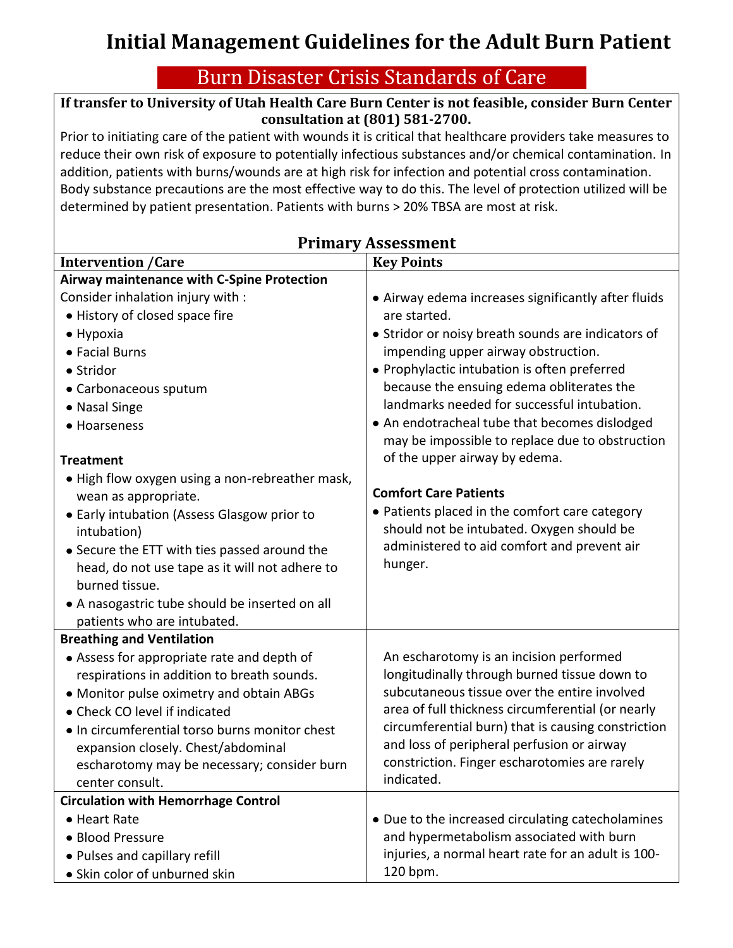## **Initial Management Guidelines for the Adult Burn Patient**

## Burn Disaster Crisis Standards of Care

## **If transfer to University of Utah Health Care Burn Center is not feasible, consider Burn Center consultation at (801) 581-2700.**

Prior to initiating care of the patient with wounds it is critical that healthcare providers take measures to reduce their own risk of exposure to potentially infectious substances and/or chemical contamination. In addition, patients with burns/wounds are at high risk for infection and potential cross contamination. Body substance precautions are the most effective way to do this. The level of protection utilized will be determined by patient presentation. Patients with burns > 20% TBSA are most at risk.

| <b>Intervention / Care</b>                      | <b>Key Points</b>                                           |
|-------------------------------------------------|-------------------------------------------------------------|
| Airway maintenance with C-Spine Protection      |                                                             |
| Consider inhalation injury with :               | • Airway edema increases significantly after fluids         |
| • History of closed space fire                  | are started.                                                |
| $\bullet$ Hypoxia                               | • Stridor or noisy breath sounds are indicators of          |
| • Facial Burns                                  | impending upper airway obstruction.                         |
| • Stridor                                       | · Prophylactic intubation is often preferred                |
| • Carbonaceous sputum                           | because the ensuing edema obliterates the                   |
| • Nasal Singe                                   | landmarks needed for successful intubation.                 |
| • Hoarseness                                    | • An endotracheal tube that becomes dislodged               |
|                                                 | may be impossible to replace due to obstruction             |
| <b>Treatment</b>                                | of the upper airway by edema.                               |
| • High flow oxygen using a non-rebreather mask, |                                                             |
| wean as appropriate.                            | <b>Comfort Care Patients</b>                                |
| • Early intubation (Assess Glasgow prior to     | • Patients placed in the comfort care category              |
| intubation)                                     | should not be intubated. Oxygen should be                   |
| • Secure the ETT with ties passed around the    | administered to aid comfort and prevent air                 |
| head, do not use tape as it will not adhere to  | hunger.                                                     |
| burned tissue.                                  |                                                             |
| • A nasogastric tube should be inserted on all  |                                                             |
| patients who are intubated.                     |                                                             |
| <b>Breathing and Ventilation</b>                |                                                             |
| • Assess for appropriate rate and depth of      | An escharotomy is an incision performed                     |
| respirations in addition to breath sounds.      | longitudinally through burned tissue down to                |
| • Monitor pulse oximetry and obtain ABGs        | subcutaneous tissue over the entire involved                |
| • Check CO level if indicated                   | area of full thickness circumferential (or nearly           |
| . In circumferential torso burns monitor chest  | circumferential burn) that is causing constriction          |
| expansion closely. Chest/abdominal              | and loss of peripheral perfusion or airway                  |
| escharotomy may be necessary; consider burn     | constriction. Finger escharotomies are rarely<br>indicated. |
| center consult.                                 |                                                             |
| <b>Circulation with Hemorrhage Control</b>      |                                                             |
| • Heart Rate                                    | • Due to the increased circulating catecholamines           |
| • Blood Pressure                                | and hypermetabolism associated with burn                    |
| • Pulses and capillary refill                   | injuries, a normal heart rate for an adult is 100-          |
| • Skin color of unburned skin                   | 120 bpm.                                                    |

## **Primary Assessment**